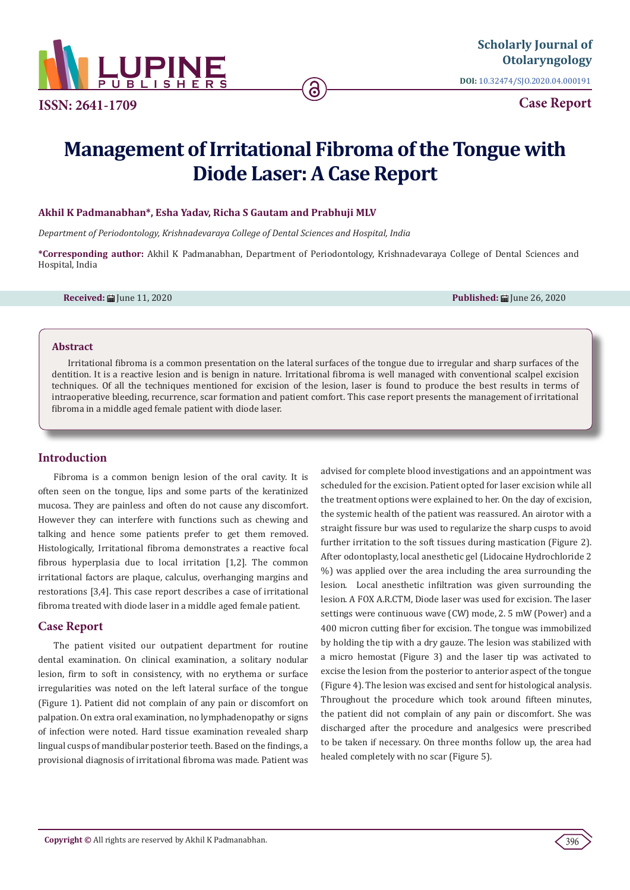

**ISSN: 2641-1709**

**DOI:** [10.32474/SJO.2020.04.000191](http://dx.doi.org/10.32474/SJO.2020.04.000191)

**Case Report**

# **Management of Irritational Fibroma of the Tongue with Diode Laser: A Case Report**

ခ

## **Akhil K Padmanabhan\*, Esha Yadav, Richa S Gautam and Prabhuji MLV**

*Department of Periodontology, Krishnadevaraya College of Dental Sciences and Hospital, India*

**\*Corresponding author:** Akhil K Padmanabhan, Department of Periodontology, Krishnadevaraya College of Dental Sciences and Hospital, India

**Received:** June 11, 2020 **Published:** June 26, 2020

#### **Abstract**

Irritational fibroma is a common presentation on the lateral surfaces of the tongue due to irregular and sharp surfaces of the dentition. It is a reactive lesion and is benign in nature. Irritational fibroma is well managed with conventional scalpel excision techniques. Of all the techniques mentioned for excision of the lesion, laser is found to produce the best results in terms of intraoperative bleeding, recurrence, scar formation and patient comfort. This case report presents the management of irritational fibroma in a middle aged female patient with diode laser.

## **Introduction**

Fibroma is a common benign lesion of the oral cavity. It is often seen on the tongue, lips and some parts of the keratinized mucosa. They are painless and often do not cause any discomfort. However they can interfere with functions such as chewing and talking and hence some patients prefer to get them removed. Histologically, Irritational fibroma demonstrates a reactive focal fibrous hyperplasia due to local irritation [1,2]. The common irritational factors are plaque, calculus, overhanging margins and restorations [3,4]. This case report describes a case of irritational fibroma treated with diode laser in a middle aged female patient.

## **Case Report**

The patient visited our outpatient department for routine dental examination. On clinical examination, a solitary nodular lesion, firm to soft in consistency, with no erythema or surface irregularities was noted on the left lateral surface of the tongue (Figure 1). Patient did not complain of any pain or discomfort on palpation. On extra oral examination, no lymphadenopathy or signs of infection were noted. Hard tissue examination revealed sharp lingual cusps of mandibular posterior teeth. Based on the findings, a provisional diagnosis of irritational fibroma was made. Patient was

advised for complete blood investigations and an appointment was scheduled for the excision. Patient opted for laser excision while all the treatment options were explained to her. On the day of excision, the systemic health of the patient was reassured. An airotor with a straight fissure bur was used to regularize the sharp cusps to avoid further irritation to the soft tissues during mastication (Figure 2). After odontoplasty, local anesthetic gel (Lidocaine Hydrochloride 2 %) was applied over the area including the area surrounding the lesion. Local anesthetic infiltration was given surrounding the lesion. A FOX A.R.CTM, Diode laser was used for excision. The laser settings were continuous wave (CW) mode, 2. 5 mW (Power) and a 400 micron cutting fiber for excision. The tongue was immobilized by holding the tip with a dry gauze. The lesion was stabilized with a micro hemostat (Figure 3) and the laser tip was activated to excise the lesion from the posterior to anterior aspect of the tongue (Figure 4). The lesion was excised and sent for histological analysis. Throughout the procedure which took around fifteen minutes, the patient did not complain of any pain or discomfort. She was discharged after the procedure and analgesics were prescribed to be taken if necessary. On three months follow up, the area had healed completely with no scar (Figure 5).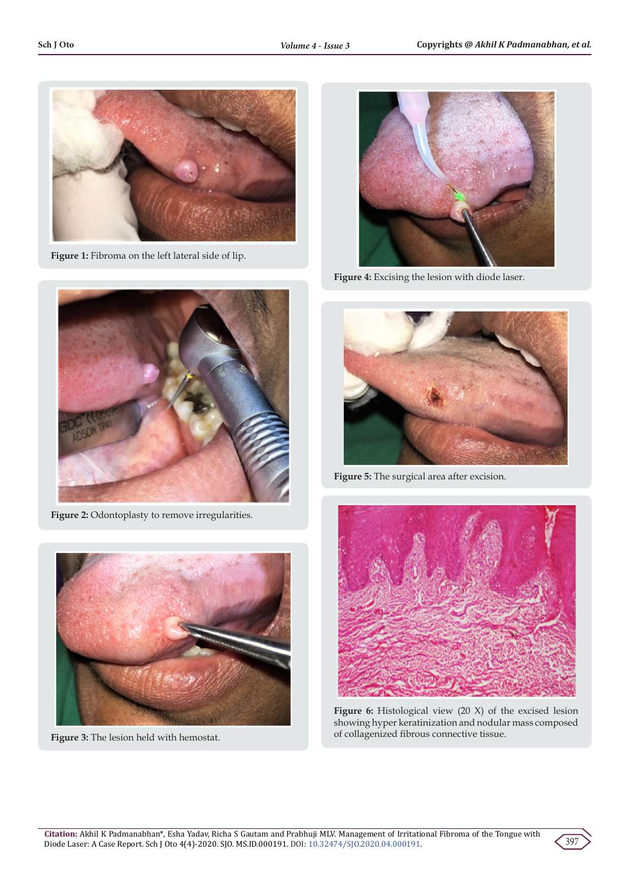

**Figure 1:** Fibroma on the left lateral side of lip.



**Figure 2:** Odontoplasty to remove irregularities.



**Figure 3:** The lesion held with hemostat.



**Figure 4:** Excising the lesion with diode laser.



**Figure 5:** The surgical area after excision.



**Figure 6:** Histological view (20 X) of the excised lesion showing hyper keratinization and nodular mass composed of collagenized fibrous connective tissue.